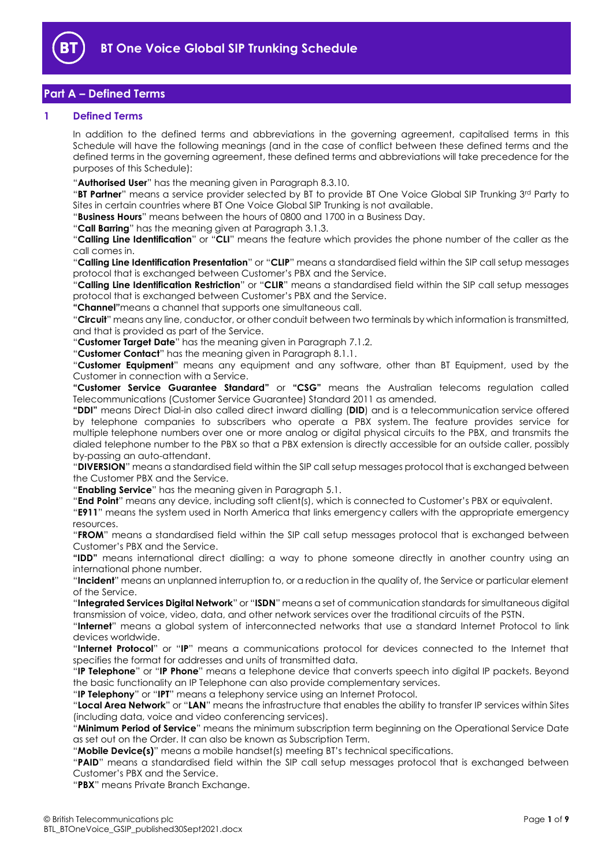

# **Part A – Defined Terms**

### **1 Defined Terms**

In addition to the defined terms and abbreviations in the governing agreement, capitalised terms in this Schedule will have the following meanings (and in the case of conflict between these defined terms and the defined terms in the governing agreement, these defined terms and abbreviations will take precedence for the purposes of this Schedule):

"**Authorised User**" has the meaning given in Paragraph [8.3.10.](#page-5-0)

"**BT Partner**" means a service provider selected by BT to provide BT One Voice Global SIP Trunking 3rd Party to Sites in certain countries where BT One Voice Global SIP Trunking is not available.

"**Business Hours**" means between the hours of 0800 and 1700 in a Business Day.

"**Call Barring**" has the meaning given at Paragraph [3.1.3.](#page-1-0)

"**Calling Line Identification**" or "**CLI**" means the feature which provides the phone number of the caller as the call comes in.

"**Calling Line Identification Presentation**" or "**CLIP**" means a standardised field within the SIP call setup messages protocol that is exchanged between Customer's PBX and the Service.

"**Calling Line Identification Restriction**" or "**CLIR**" means a standardised field within the SIP call setup messages protocol that is exchanged between Customer's PBX and the Service.

**"Channel**"means a channel that supports one simultaneous call.

"**Circuit**" means any line, conductor, or other conduit between two terminals by which information is transmitted, and that is provided as part of the Service.

"**Customer Target Date**" has the meaning given in Paragraph 7.1.2.

"**Customer Contact**" has the meaning given in Paragraph [8.1.1.](#page-4-0)

"**Customer Equipment**" means any equipment and any software, other than BT Equipment, used by the Customer in connection with a Service.

**"Customer Service Guarantee Standard"** or **"CSG"** means the Australian telecoms regulation called Telecommunications (Customer Service Guarantee) Standard 2011 as amended.

**"DDI"** means Direct Dial-in also called direct inward dialling (**DID**) and is a [telecommunication](https://en.wikipedia.org/wiki/Telecommunication) service offered by telephone companies to subscribers who operate a PBX system. The feature provides service for multiple [telephone numbers](https://en.wikipedia.org/wiki/Telephone_number) over one or more analog or digital physical circuits to the PBX, and transmits the dialed telephone number to the PBX so that a PBX extension is directly accessible for an outside caller, possibly by-passing an auto-attendant.

"**DIVERSION**" means a standardised field within the SIP call setup messages protocol that is exchanged between the Customer PBX and the Service.

"**Enabling Service**" has the meaning given in Paragraph [5.1.](#page-3-0)

"**End Point**" means any device, including soft client(s), which is connected to Customer's PBX or equivalent.

"**E911**" means the system used in North America that links emergency callers with the appropriate emergency resources.

"**FROM**" means a standardised field within the SIP call setup messages protocol that is exchanged between Customer's PBX and the Service.

**"IDD"** means international direct dialling: a way to phone someone directly in another country using an international phone number.

"**Incident**" means an unplanned interruption to, or a reduction in the quality of, the Service or particular element of the Service.

"**Integrated Services Digital Network**" or "**ISDN**" means a set of communication standards for simultaneous digital transmission of voice, video, data, and other network services over the traditional circuits of the PSTN.

"**Internet**" means a global system of interconnected networks that use a standard Internet Protocol to link devices worldwide.

"**Internet Protocol**" or "**IP**" means a communications protocol for devices connected to the Internet that specifies the format for addresses and units of transmitted data.

"**IP Telephone**" or "**IP Phone**" means a telephone device that converts speech into digital IP packets. Beyond the basic functionality an IP Telephone can also provide complementary services.

"**IP Telephony**" or "**IPT**" means a telephony service using an Internet Protocol.

"**Local Area Network**" or "**LAN**" means the infrastructure that enables the ability to transfer IP services within Sites (including data, voice and video conferencing services).

"**Minimum Period of Service**" means the minimum subscription term beginning on the Operational Service Date as set out on the Order. It can also be known as Subscription Term.

"**Mobile Device(s)**" means a mobile handset(s) meeting BT's technical specifications.

"**PAID**" means a standardised field within the SIP call setup messages protocol that is exchanged between Customer's PBX and the Service.

"**PBX**" means Private Branch Exchange.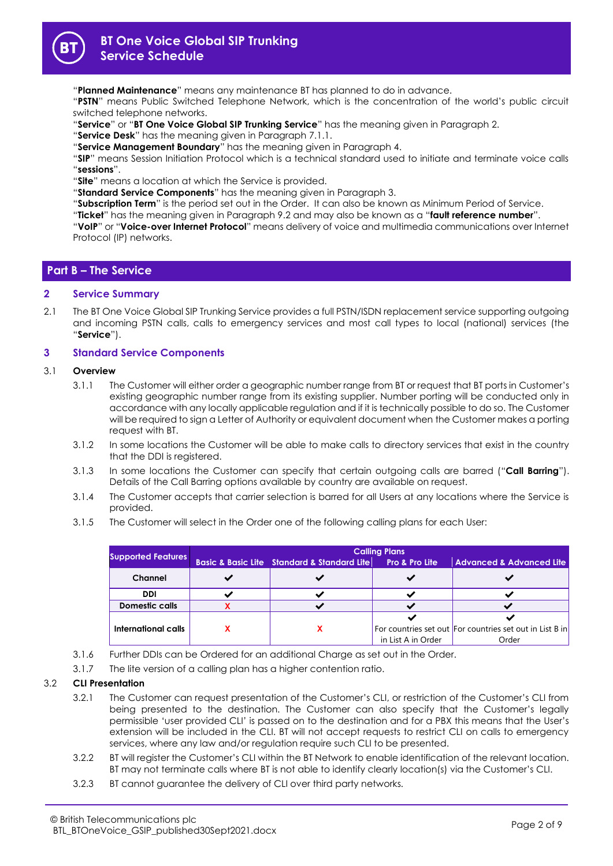

"**Planned Maintenance**" means any maintenance BT has planned to do in advance.

"**PSTN**" means Public Switched Telephone Network, which is the concentration of the world's public circuit switched telephone networks.

- "**Service**" or "**BT One Voice Global SIP Trunking Service**" has the meaning given in Paragraph 2.
- "**Service Desk**" has the meaning given in Paragraph [7.1.1.](#page-4-1)
- "**Service Management Boundary**" has the meaning given in Paragraph 4.

"**SIP**" means Session Initiation Protocol which is a technical standard used to initiate and terminate voice calls "**sessions**".

"**Site**" means a location at which the Service is provided.

"**Standard Service Components**" has the meaning given in Paragraph 3.

"**Subscription Term**" is the period set out in the Order. It can also be known as Minimum Period of Service.

"**Ticket**" has the meaning given in Paragraph [9.2](#page-6-0) and may also be known as a "**fault reference number**".

"**VoIP**" or "**Voice-over Internet Protocol**" means delivery of voice and multimedia communications over Internet Protocol (IP) networks.

## **Part B – The Service**

### **2 Service Summary**

2.1 The BT One Voice Global SIP Trunking Service provides a full PSTN/ISDN replacement service supporting outgoing and incoming PSTN calls, calls to emergency services and most call types to local (national) services (the "**Service**").

## **3 Standard Service Components**

### 3.1 **Overview**

- 3.1.1 The Customer will either order a geographic number range from BT or request that BT ports in Customer's existing geographic number range from its existing supplier. Number porting will be conducted only in accordance with any locally applicable regulation and if it is technically possible to do so. The Customer will be required to sign a Letter of Authority or equivalent document when the Customer makes a porting request with BT.
- 3.1.2 In some locations the Customer will be able to make calls to directory services that exist in the country that the DDI is registered.
- <span id="page-1-0"></span>3.1.3 In some locations the Customer can specify that certain outgoing calls are barred ("**Call Barring**"). Details of the Call Barring options available by country are available on request.
- 3.1.4 The Customer accepts that carrier selection is barred for all Users at any locations where the Service is provided.
- 3.1.5 The Customer will select in the Order one of the following calling plans for each User:

| <b>Supported Features</b> | <b>Calling Plans</b> |                                                            |                           |                                                          |
|---------------------------|----------------------|------------------------------------------------------------|---------------------------|----------------------------------------------------------|
|                           |                      | <b>Basic &amp; Basic Lite Standard &amp; Standard Lite</b> | <b>Pro &amp; Pro Lite</b> | <b>Advanced &amp; Advanced Lite</b>                      |
| Channel                   |                      |                                                            |                           |                                                          |
| <b>DDI</b>                |                      |                                                            |                           |                                                          |
| <b>Domestic calls</b>     |                      |                                                            |                           |                                                          |
|                           |                      |                                                            |                           |                                                          |
| International calls       |                      |                                                            |                           | For countries set out For countries set out in List B in |
|                           |                      |                                                            | in List A in Order        | Order                                                    |

- 3.1.6 Further DDIs can be Ordered for an additional Charge as set out in the Order.
- 3.1.7 The lite version of a calling plan has a higher contention ratio.

### 3.2 **CLI Presentation**

- 3.2.1 The Customer can request presentation of the Customer's CLI, or restriction of the Customer's CLI from being presented to the destination. The Customer can also specify that the Customer's legally permissible 'user provided CLI' is passed on to the destination and for a PBX this means that the User's extension will be included in the CLI. BT will not accept requests to restrict CLI on calls to emergency services, where any law and/or regulation require such CLI to be presented.
- 3.2.2 BT will register the Customer's CLI within the BT Network to enable identification of the relevant location. BT may not terminate calls where BT is not able to identify clearly location(s) via the Customer's CLI.
- 3.2.3 BT cannot guarantee the delivery of CLI over third party networks.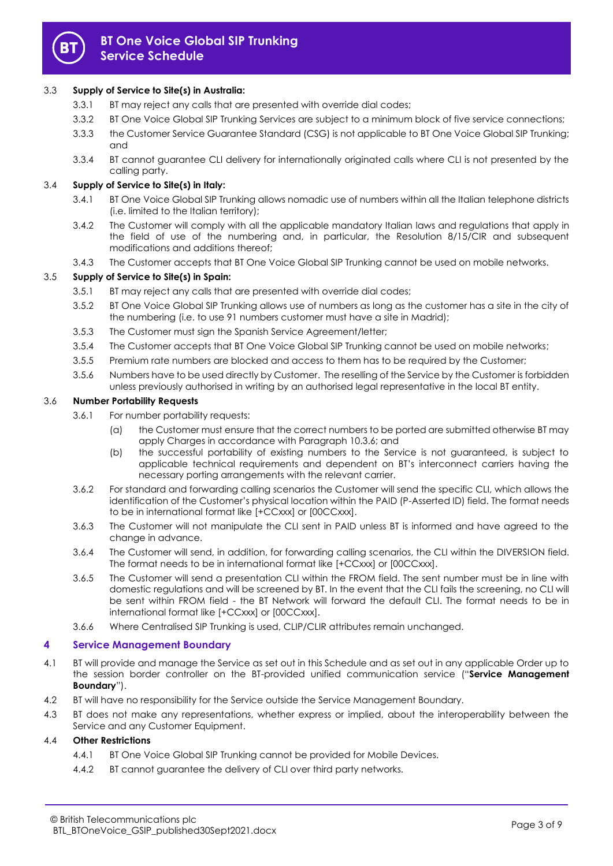

## 3.3 **Supply of Service to Site(s) in Australia:**

- 3.3.1 BT may reject any calls that are presented with override dial codes;
- 3.3.2 BT One Voice Global SIP Trunking Services are subject to a minimum block of five service connections;
- 3.3.3 the Customer Service Guarantee Standard (CSG) is not applicable to BT One Voice Global SIP Trunking; and
- 3.3.4 BT cannot guarantee CLI delivery for internationally originated calls where CLI is not presented by the calling party.

## 3.4 **Supply of Service to Site(s) in Italy:**

- 3.4.1 BT One Voice Global SIP Trunking allows nomadic use of numbers within all the Italian telephone districts (i.e. limited to the Italian territory);
- 3.4.2 The Customer will comply with all the applicable mandatory Italian laws and regulations that apply in the field of use of the numbering and, in particular, the Resolution 8/15/CIR and subsequent modifications and additions thereof;
- 3.4.3 The Customer accepts that BT One Voice Global SIP Trunking cannot be used on mobile networks.

## 3.5 **Supply of Service to Site(s) in Spain:**

- 3.5.1 BT may reject any calls that are presented with override dial codes;
- 3.5.2 BT One Voice Global SIP Trunking allows use of numbers as long as the customer has a site in the city of the numbering (i.e. to use 91 numbers customer must have a site in Madrid);
- 3.5.3 The Customer must sign the Spanish Service Agreement/letter;
- 3.5.4 The Customer accepts that BT One Voice Global SIP Trunking cannot be used on mobile networks;
- 3.5.5 Premium rate numbers are blocked and access to them has to be required by the Customer;
- 3.5.6 Numbers have to be used directly by Customer. The reselling of the Service by the Customer is forbidden unless previously authorised in writing by an authorised legal representative in the local BT entity.

### 3.6 **Number Portability Requests**

- 3.6.1 For number portability requests:
	- (a) the Customer must ensure that the correct numbers to be ported are submitted otherwise BT may apply Charges in accordance with Paragrap[h 10.3.6;](#page-6-1) and
	- (b) the successful portability of existing numbers to the Service is not guaranteed, is subject to applicable technical requirements and dependent on BT's interconnect carriers having the necessary porting arrangements with the relevant carrier.
- 3.6.2 For standard and forwarding calling scenarios the Customer will send the specific CLI, which allows the identification of the Customer's physical location within the PAID (P-Asserted ID) field. The format needs to be in international format like [+CCxxx] or [00CCxxx].
- 3.6.3 The Customer will not manipulate the CLI sent in PAID unless BT is informed and have agreed to the change in advance.
- 3.6.4 The Customer will send, in addition, for forwarding calling scenarios, the CLI within the DIVERSION field. The format needs to be in international format like [+CCxxx] or [00CCxxx].
- 3.6.5 The Customer will send a presentation CLI within the FROM field. The sent number must be in line with domestic regulations and will be screened by BT. In the event that the CLI fails the screening, no CLI will be sent within FROM field - the BT Network will forward the default CLI. The format needs to be in international format like [+CCxxx] or [00CCxxx].
- 3.6.6 Where Centralised SIP Trunking is used, CLIP/CLIR attributes remain unchanged.

## **4 Service Management Boundary**

- 4.1 BT will provide and manage the Service as set out in this Schedule and as set out in any applicable Order up to the session border controller on the BT-provided unified communication service ("**Service Management Boundary**").
- 4.2 BT will have no responsibility for the Service outside the Service Management Boundary.
- 4.3 BT does not make any representations, whether express or implied, about the interoperability between the Service and any Customer Equipment.

## 4.4 **Other Restrictions**

- 4.4.1 BT One Voice Global SIP Trunking cannot be provided for Mobile Devices.
- 4.4.2 BT cannot guarantee the delivery of CLI over third party networks.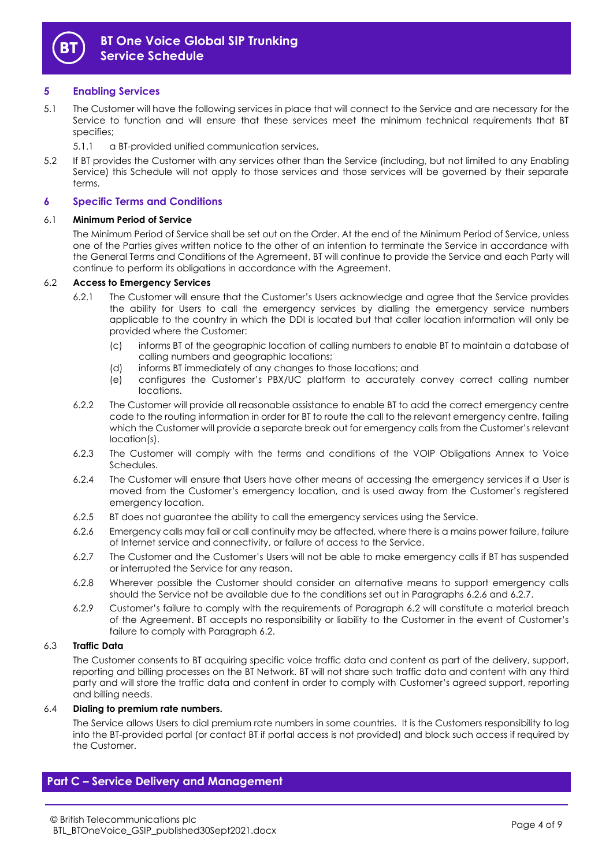

## **5 Enabling Services**

- <span id="page-3-0"></span>5.1 The Customer will have the following services in place that will connect to the Service and are necessary for the Service to function and will ensure that these services meet the minimum technical requirements that BT specifies;
	- 5.1.1 a BT-provided unified communication services,
- 5.2 If BT provides the Customer with any services other than the Service (including, but not limited to any Enabling Service) this Schedule will not apply to those services and those services will be governed by their separate terms.

## **6 Specific Terms and Conditions**

## 6.1 **Minimum Period of Service**

The Minimum Period of Service shall be set out on the Order. At the end of the Minimum Period of Service, unless one of the Parties gives written notice to the other of an intention to terminate the Service in accordance with the General Terms and Conditions of the Agremeent, BT will continue to provide the Service and each Party will continue to perform its obligations in accordance with the Agreement.

### 6.2 **Access to Emergency Services**

- 6.2.1 The Customer will ensure that the Customer's Users acknowledge and agree that the Service provides the ability for Users to call the emergency services by dialling the emergency service numbers applicable to the country in which the DDI is located but that caller location information will only be provided where the Customer:
	- (c) informs BT of the geographic location of calling numbers to enable BT to maintain a database of calling numbers and geographic locations;
	- (d) informs BT immediately of any changes to those locations; and
	- (e) configures the Customer's PBX/UC platform to accurately convey correct calling number locations.
- 6.2.2 The Customer will provide all reasonable assistance to enable BT to add the correct emergency centre code to the routing information in order for BT to route the call to the relevant emergency centre, failing which the Customer will provide a separate break out for emergency calls from the Customer's relevant location(s).
- 6.2.3 The Customer will comply with the terms and conditions of the VOIP Obligations Annex to Voice Schedules.
- <span id="page-3-2"></span>6.2.4 The Customer will ensure that Users have other means of accessing the emergency services if a User is moved from the Customer's emergency location, and is used away from the Customer's registered emergency location.
- 6.2.5 BT does not guarantee the ability to call the emergency services using the Service.
- <span id="page-3-1"></span>6.2.6 Emergency calls may fail or call continuity may be affected, where there is a mains power failure, failure of Internet service and connectivity, or failure of access to the Service.
- 6.2.7 The Customer and the Customer's Users will not be able to make emergency calls if BT has suspended or interrupted the Service for any reason.
- 6.2.8 Wherever possible the Customer should consider an alternative means to support emergency calls should the Service not be available due to the conditions set out in Paragraphs [6.2.6](#page-3-1) and 6.2.7.
- 6.2.9 Customer's failure to comply with the requirements of Paragraph 6.2 will constitute a material breach of the Agreement. BT accepts no responsibility or liability to the Customer in the event of Customer's failure to comply with Paragraph 6.2.

### 6.3 **Traffic Data**

The Customer consents to BT acquiring specific voice traffic data and content as part of the delivery, support, reporting and billing processes on the BT Network. BT will not share such traffic data and content with any third party and will store the traffic data and content in order to comply with Customer's agreed support, reporting and billing needs.

### 6.4 **Dialing to premium rate numbers.**

The Service allows Users to dial premium rate numbers in some countries. It is the Customers responsibility to log into the BT-provided portal (or contact BT if portal access is not provided) and block such access if required by the Customer.

## **Part C – Service Delivery and Management**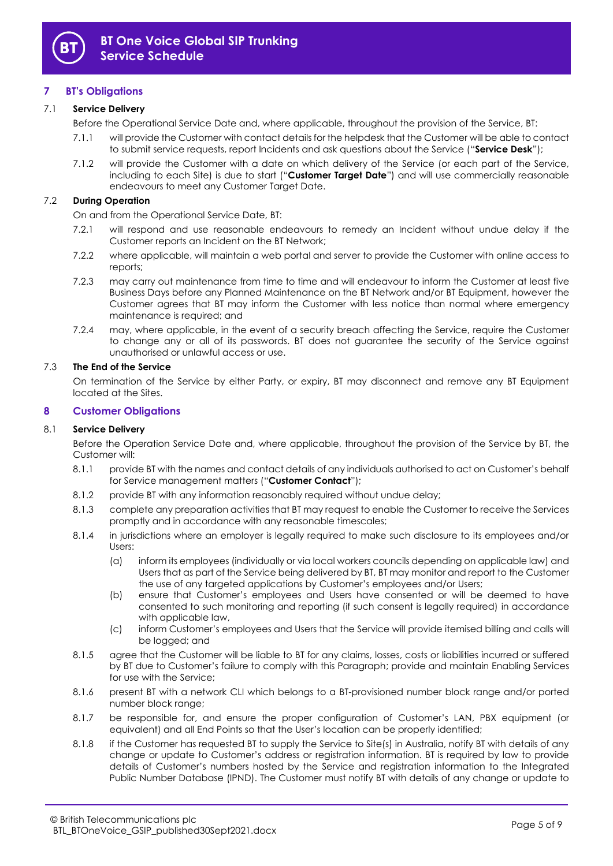

## **7 BT's Obligations**

## <span id="page-4-1"></span>7.1 **Service Delivery**

- Before the Operational Service Date and, where applicable, throughout the provision of the Service, BT:
	- 7.1.1 will provide the Customer with contact details for the helpdesk that the Customer will be able to contact to submit service requests, report Incidents and ask questions about the Service ("**Service Desk**");
	- 7.1.2 will provide the Customer with a date on which delivery of the Service (or each part of the Service, including to each Site) is due to start ("**Customer Target Date**") and will use commercially reasonable endeavours to meet any Customer Target Date.

## 7.2 **During Operation**

On and from the Operational Service Date, BT:

- 7.2.1 will respond and use reasonable endeavours to remedy an Incident without undue delay if the Customer reports an Incident on the BT Network;
- 7.2.2 where applicable, will maintain a web portal and server to provide the Customer with online access to reports;
- 7.2.3 may carry out maintenance from time to time and will endeavour to inform the Customer at least five Business Days before any Planned Maintenance on the BT Network and/or BT Equipment, however the Customer agrees that BT may inform the Customer with less notice than normal where emergency maintenance is required; and
- 7.2.4 may, where applicable, in the event of a security breach affecting the Service, require the Customer to change any or all of its passwords. BT does not guarantee the security of the Service against unauthorised or unlawful access or use.

## 7.3 **The End of the Service**

On termination of the Service by either Party, or expiry, BT may disconnect and remove any BT Equipment located at the Sites.

## **8 Customer Obligations**

### 8.1 **Service Delivery**

Before the Operation Service Date and, where applicable, throughout the provision of the Service by BT, the Customer will:

- <span id="page-4-0"></span>8.1.1 provide BT with the names and contact details of any individuals authorised to act on Customer's behalf for Service management matters ("**Customer Contact**");
- 8.1.2 provide BT with any information reasonably required without undue delay;
- 8.1.3 complete any preparation activities that BT may request to enable the Customer to receive the Services promptly and in accordance with any reasonable timescales;
- 8.1.4 in jurisdictions where an employer is legally required to make such disclosure to its employees and/or Users:
	- (a) inform its employees (individually or via local workers councils depending on applicable law) and Users that as part of the Service being delivered by BT, BT may monitor and report to the Customer the use of any targeted applications by Customer's employees and/or Users;
	- (b) ensure that Customer's employees and Users have consented or will be deemed to have consented to such monitoring and reporting (if such consent is legally required) in accordance with applicable law,
	- (c) inform Customer's employees and Users that the Service will provide itemised billing and calls will be logged; and
- 8.1.5 agree that the Customer will be liable to BT for any claims, losses, costs or liabilities incurred or suffered by BT due to Customer's failure to comply with this Paragraph; provide and maintain Enabling Services for use with the Service;
- 8.1.6 present BT with a network CLI which belongs to a BT-provisioned number block range and/or ported number block range;
- 8.1.7 be responsible for, and ensure the proper configuration of Customer's LAN, PBX equipment (or equivalent) and all End Points so that the User's location can be properly identified;
- 8.1.8 if the Customer has requested BT to supply the Service to Site(s) in Australia, notify BT with details of any change or update to Customer's address or registration information. BT is required by law to provide details of Customer's numbers hosted by the Service and registration information to the Integrated Public Number Database (IPND). The Customer must notify BT with details of any change or update to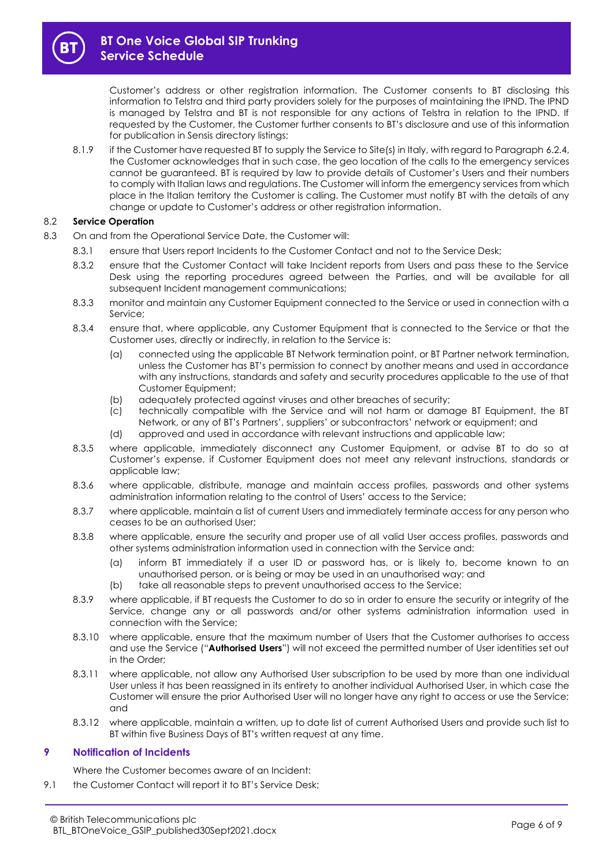Customer's address or other registration information. The Customer consents to BT disclosing this information to Telstra and third party providers solely for the purposes of maintaining the IPND. The IPND is managed by Telstra and BT is not responsible for any actions of Telstra in relation to the IPND. If requested by the Customer, the Customer further consents to BT's disclosure and use of this information for publication in Sensis directory listings;

8.1.9 if the Customer have requested BT to supply the Service to Site(s) in Italy, with regard to Paragraph 6.2.4, the Customer acknowledges that in such case, the geo location of the calls to the emergency services cannot be guaranteed. BT is required by law to provide details of Customer's Users and their numbers to comply with Italian laws and regulations. The Customer will inform the emergency services from which place in the Italian territory the Customer is calling. The Customer must notify BT with the details of any change or update to Customer's address or other registration information.

### 8.2 **Service Operation**

- 8.3 On and from the Operational Service Date, the Customer will:
	- 8.3.1 ensure that Users report Incidents to the Customer Contact and not to the Service Desk;
	- 8.3.2 ensure that the Customer Contact will take Incident reports from Users and pass these to the Service Desk using the reporting procedures agreed between the Parties, and will be available for all subsequent Incident management communications;
	- 8.3.3 monitor and maintain any Customer Equipment connected to the Service or used in connection with a Service;
	- 8.3.4 ensure that, where applicable, any Customer Equipment that is connected to the Service or that the Customer uses, directly or indirectly, in relation to the Service is:
		- (a) connected using the applicable BT Network termination point, or BT Partner network termination, unless the Customer has BT's permission to connect by another means and used in accordance with any instructions, standards and safety and security procedures applicable to the use of that Customer Equipment;
		- (b) adequately protected against viruses and other breaches of security;
		- (c) technically compatible with the Service and will not harm or damage BT Equipment, the BT Network, or any of BT's Partners', suppliers' or subcontractors' network or equipment; and
		- (d) approved and used in accordance with relevant instructions and applicable law;
	- 8.3.5 where applicable, immediately disconnect any Customer Equipment, or advise BT to do so at Customer's expense, if Customer Equipment does not meet any relevant instructions, standards or applicable law;
	- 8.3.6 where applicable, distribute, manage and maintain access profiles, passwords and other systems administration information relating to the control of Users' access to the Service;
	- 8.3.7 where applicable, maintain a list of current Users and immediately terminate access for any person who ceases to be an authorised User;
	- 8.3.8 where applicable, ensure the security and proper use of all valid User access profiles, passwords and other systems administration information used in connection with the Service and:
		- (a) inform BT immediately if a user ID or password has, or is likely to, become known to an unauthorised person, or is being or may be used in an unauthorised way; and
		- (b) take all reasonable steps to prevent unauthorised access to the Service;
	- 8.3.9 where applicable, if BT requests the Customer to do so in order to ensure the security or integrity of the Service, change any or all passwords and/or other systems administration information used in connection with the Service;
	- 8.3.10 where applicable, ensure that the maximum number of Users that the Customer authorises to access and use the Service ("**Authorised Users**") will not exceed the permitted number of User identities set out in the Order;
	- 8.3.11 where applicable, not allow any Authorised User subscription to be used by more than one individual User unless it has been reassigned in its entirety to another individual Authorised User, in which case the Customer will ensure the prior Authorised User will no longer have any right to access or use the Service; and
	- 8.3.12 where applicable, maintain a written, up to date list of current Authorised Users and provide such list to BT within five Business Days of BT's written request at any time.

## <span id="page-5-0"></span>**9 Notification of Incidents**

Where the Customer becomes aware of an Incident:

9.1 the Customer Contact will report it to BT's Service Desk;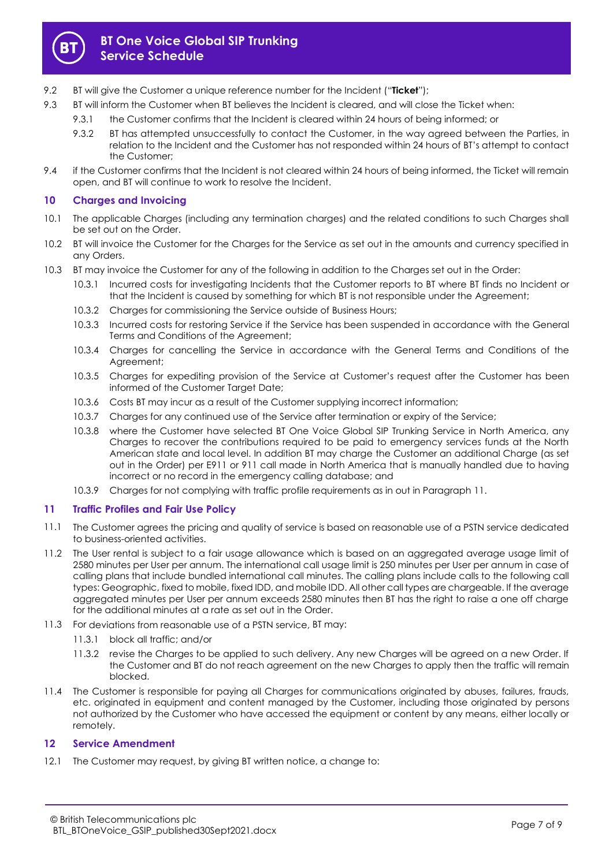

- <span id="page-6-0"></span>9.2 BT will give the Customer a unique reference number for the Incident ("**Ticket**");
- 9.3 BT will inform the Customer when BT believes the Incident is cleared, and will close the Ticket when:
	- 9.3.1 the Customer confirms that the Incident is cleared within 24 hours of being informed; or
		- 9.3.2 BT has attempted unsuccessfully to contact the Customer, in the way agreed between the Parties, in relation to the Incident and the Customer has not responded within 24 hours of BT's attempt to contact the Customer;
- 9.4 if the Customer confirms that the Incident is not cleared within 24 hours of being informed, the Ticket will remain open, and BT will continue to work to resolve the Incident.

## **10 Charges and Invoicing**

- 10.1 The applicable Charges (including any termination charges) and the related conditions to such Charges shall be set out on the Order.
- 10.2 BT will invoice the Customer for the Charges for the Service as set out in the amounts and currency specified in any Orders.
- 10.3 BT may invoice the Customer for any of the following in addition to the Charges set out in the Order:
	- 10.3.1 Incurred costs for investigating Incidents that the Customer reports to BT where BT finds no Incident or that the Incident is caused by something for which BT is not responsible under the Agreement;
	- 10.3.2 Charges for commissioning the Service outside of Business Hours;
	- 10.3.3 Incurred costs for restoring Service if the Service has been suspended in accordance with the General Terms and Conditions of the Agreement;
	- 10.3.4 Charges for cancelling the Service in accordance with the General Terms and Conditions of the Agreement;
	- 10.3.5 Charges for expediting provision of the Service at Customer's request after the Customer has been informed of the Customer Target Date;
	- 10.3.6 Costs BT may incur as a result of the Customer supplying incorrect information;
	- 10.3.7 Charges for any continued use of the Service after termination or expiry of the Service;
	- 10.3.8 where the Customer have selected BT One Voice Global SIP Trunking Service in North America, any Charges to recover the contributions required to be paid to emergency services funds at the North American state and local level. In addition BT may charge the Customer an additional Charge (as set out in the Order) per E911 or 911 call made in North America that is manually handled due to having incorrect or no record in the emergency calling database; and
	- 10.3.9 Charges for not complying with traffic profile requirements as in out in Paragraph [11.](#page-6-2)

## <span id="page-6-2"></span><span id="page-6-1"></span>**11 Traffic Profiles and Fair Use Policy**

- 11.1 The Customer agrees the pricing and quality of service is based on reasonable use of a PSTN service dedicated to business-oriented activities.
- 11.2 The User rental is subject to a fair usage allowance which is based on an aggregated average usage limit of 2580 minutes per User per annum. The international call usage limit is 250 minutes per User per annum in case of calling plans that include bundled international call minutes. The calling plans include calls to the following call types: Geographic, fixed to mobile, fixed IDD, and mobile IDD. All other call types are chargeable. If the average aggregated minutes per User per annum exceeds 2580 minutes then BT has the right to raise a one off charge for the additional minutes at a rate as set out in the Order.
- 11.3 For deviations from reasonable use of a PSTN service, BT may:
	- 11.3.1 block all traffic; and/or
	- 11.3.2 revise the Charges to be applied to such delivery. Any new Charges will be agreed on a new Order. If the Customer and BT do not reach agreement on the new Charges to apply then the traffic will remain blocked.
- 11.4 The Customer is responsible for paying all Charges for communications originated by abuses, failures, frauds, etc. originated in equipment and content managed by the Customer, including those originated by persons not authorized by the Customer who have accessed the equipment or content by any means, either locally or remotely.

# **12 Service Amendment**

<span id="page-6-3"></span>12.1 The Customer may request, by giving BT written notice, a change to: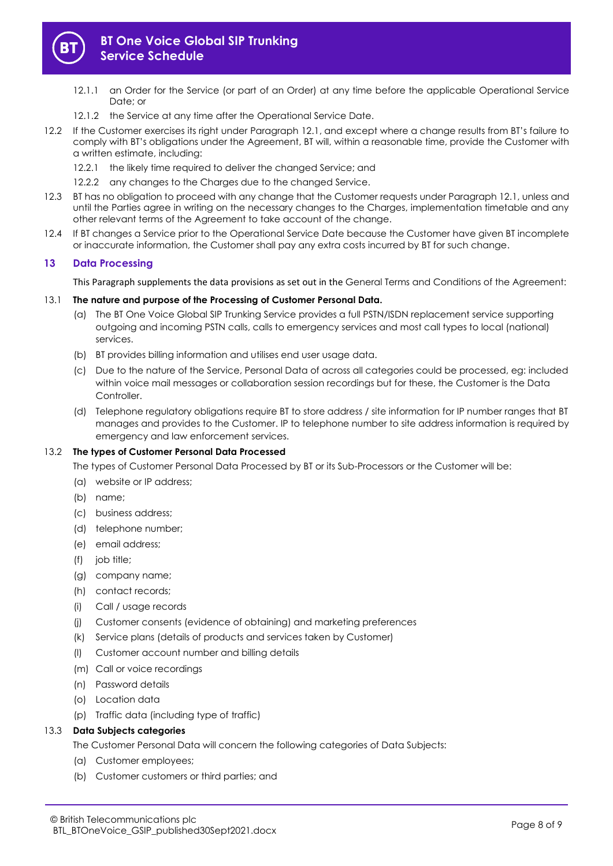

# **BT One Voice Global SIP Trunking Service Schedule**

- 12.1.1 an Order for the Service (or part of an Order) at any time before the applicable Operational Service Date; or
- 12.1.2 the Service at any time after the Operational Service Date.
- 12.2 If the Customer exercises its right under Paragraph [12.1](#page-6-3), and except where a change results from BT's failure to comply with BT's obligations under the Agreement, BT will, within a reasonable time, provide the Customer with a written estimate, including:
	- 12.2.1 the likely time required to deliver the changed Service; and
	- 12.2.2 any changes to the Charges due to the changed Service.
- 12.3 BT has no obligation to proceed with any change that the Customer requests under Paragraph [12.1,](#page-6-3) unless and until the Parties agree in writing on the necessary changes to the Charges, implementation timetable and any other relevant terms of the Agreement to take account of the change.
- 12.4 If BT changes a Service prior to the Operational Service Date because the Customer have given BT incomplete or inaccurate information, the Customer shall pay any extra costs incurred by BT for such change.

## **13 Data Processing**

This Paragraph supplements the data provisions as set out in the General Terms and Conditions of the Agreement:

### 13.1 **The nature and purpose of the Processing of Customer Personal Data.**

- (a) The BT One Voice Global SIP Trunking Service provides a full PSTN/ISDN replacement service supporting outgoing and incoming PSTN calls, calls to emergency services and most call types to local (national) services.
- (b) BT provides billing information and utilises end user usage data.
- (c) Due to the nature of the Service, Personal Data of across all categories could be processed, eg: included within voice mail messages or collaboration session recordings but for these, the Customer is the Data Controller.
- (d) Telephone regulatory obligations require BT to store address / site information for IP number ranges that BT manages and provides to the Customer. IP to telephone number to site address information is required by emergency and law enforcement services.

### 13.2 **The types of Customer Personal Data Processed**

The types of Customer Personal Data Processed by BT or its Sub-Processors or the Customer will be:

- (a) website or IP address;
- (b) name;
- (c) business address;
- (d) telephone number;
- (e) email address;
- (f) job title;
- (g) company name;
- (h) contact records;
- (i) Call / usage records
- (j) Customer consents (evidence of obtaining) and marketing preferences
- (k) Service plans (details of products and services taken by Customer)
- (l) Customer account number and billing details
- (m) Call or voice recordings
- (n) Password details
- (o) Location data
- (p) Traffic data (including type of traffic)

### 13.3 **Data Subjects categories**

The Customer Personal Data will concern the following categories of Data Subjects:

- (a) Customer employees;
- (b) Customer customers or third parties; and